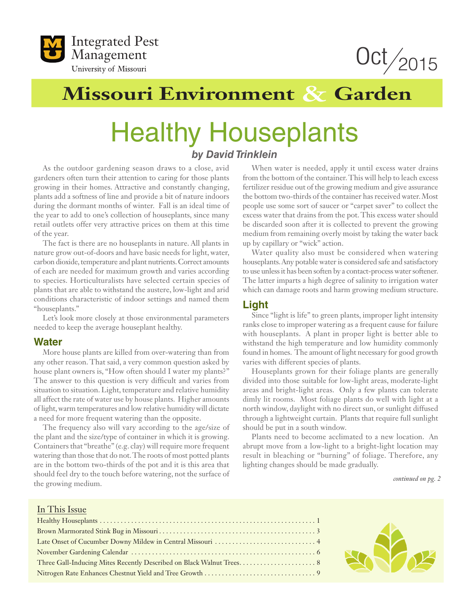



# **Missouri Environment & Garden**

# Healthy Houseplants *by David Trinklein*

As the outdoor gardening season draws to a close, avid gardeners often turn their attention to caring for those plants growing in their homes. Attractive and constantly changing, plants add a softness of line and provide a bit of nature indoors during the dormant months of winter. Fall is an ideal time of the year to add to one's collection of houseplants, since many retail outlets offer very attractive prices on them at this time of the year.

The fact is there are no houseplants in nature. All plants in nature grow out-of-doors and have basic needs for light, water, carbon dioxide, temperature and plant nutrients. Correct amounts of each are needed for maximum growth and varies according to species. Horticulturalists have selected certain species of plants that are able to withstand the austere, low-light and arid conditions characteristic of indoor settings and named them "houseplants."

Let's look more closely at those environmental parameters needed to keep the average houseplant healthy.

#### **Water**

More house plants are killed from over-watering than from any other reason. That said, a very common question asked by house plant owners is, "How often should I water my plants?" The answer to this question is very difficult and varies from situation to situation. Light, temperature and relative humidity all affect the rate of water use by house plants. Higher amounts of light, warm temperatures and low relative humidity will dictate a need for more frequent watering than the opposite.

The frequency also will vary according to the age/size of the plant and the size/type of container in which it is growing. Containers that "breathe" (e.g. clay) will require more frequent watering than those that do not. The roots of most potted plants are in the bottom two-thirds of the pot and it is this area that should feel dry to the touch before watering, not the surface of the growing medium.

When water is needed, apply it until excess water drains from the bottom of the container. This will help to leach excess fertilizer residue out of the growing medium and give assurance the bottom two-thirds of the container has received water. Most people use some sort of saucer or "carpet saver" to collect the excess water that drains from the pot. This excess water should be discarded soon after it is collected to prevent the growing medium from remaining overly moist by taking the water back up by capillary or "wick" action.

Water quality also must be considered when watering houseplants. Any potable water is considered safe and satisfactory to use unless it has been soften by a contact-process water softener. The latter imparts a high degree of salinity to irrigation water which can damage roots and harm growing medium structure.

### **Light**

Since "light is life" to green plants, improper light intensity ranks close to improper watering as a frequent cause for failure with houseplants. A plant in proper light is better able to withstand the high temperature and low humidity commonly found in homes. The amount of light necessary for good growth varies with different species of plants.

Houseplants grown for their foliage plants are generally divided into those suitable for low-light areas, moderate-light areas and bright-light areas. Only a few plants can tolerate dimly lit rooms. Most foliage plants do well with light at a north window, daylight with no direct sun, or sunlight diffused through a lightweight curtain. Plants that require full sunlight should be put in a south window.

Plants need to become acclimated to a new location. An abrupt move from a low-light to a bright-light location may result in bleaching or "burning" of foliage. Therefore, any lighting changes should be made gradually.

*continued on pg. 2*

#### In This Issue

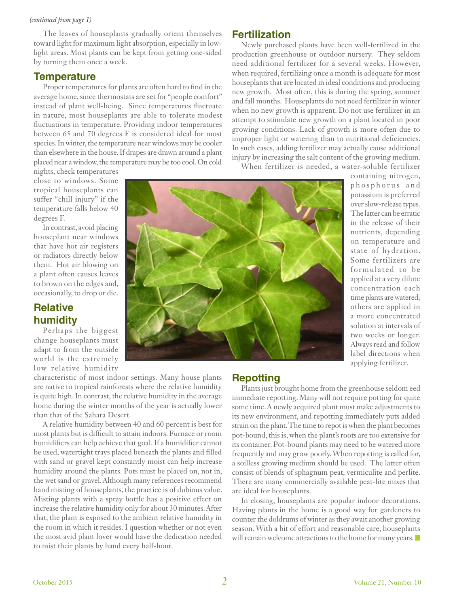#### *(continued from page 1)*

The leaves of houseplants gradually orient themselves toward light for maximum light absorption, especially in lowlight areas. Most plants can be kept from getting one-sided by turning them once a week.

#### **Temperature**

Proper temperatures for plants are often hard to find in the average home, since thermostats are set for "people comfort" instead of plant well-being. Since temperatures fluctuate in nature, most houseplants are able to tolerate modest fluctuations in temperature. Providing indoor temperatures between 65 and 70 degrees F is considered ideal for most species. In winter, the temperature near windows may be cooler than elsewhere in the house. If drapes are drawn around a plant placed near a window, the temperature may be too cool. On cold **Fertilization**

Newly purchased plants have been well-fertilized in the production greenhouse or outdoor nursery. They seldom need additional fertilizer for a several weeks. However, when required, fertilizing once a month is adequate for most houseplants that are located in ideal conditions and producing new growth. Most often, this is during the spring, summer and fall months. Houseplants do not need fertilizer in winter when no new growth is apparent. Do not use fertilizer in an attempt to stimulate new growth on a plant located in poor growing conditions. Lack of growth is more often due to improper light or watering than to nutritional deficiencies. In such cases, adding fertilizer may actually cause additional injury by increasing the salt content of the growing medium.

When fertilizer is needed, a water-soluble fertilizer

nights, check temperatures close to windows. Some tropical houseplants can suffer "chill injury" if the temperature falls below 40 degrees F.

In contrast, avoid placing houseplant near windows that have hot air registers or radiators directly below them. Hot air blowing on a plant often causes leaves to brown on the edges and, occasionally, to drop or die.

## **Relative humidity**

Perhaps the biggest change houseplants must adapt to from the outside world is the extremely low relative humidity

characteristic of most indoor settings. Many house plants are native to tropical rainforests where the relative humidity is quite high. In contrast, the relative humidity in the average home during the winter months of the year is actually lower than that of the Sahara Desert.

A relative humidity between 40 and 60 percent is best for most plants but is difficult to attain indoors. Furnace or room humidifiers can help achieve that goal. If a humidifier cannot be used, watertight trays placed beneath the plants and filled with sand or gravel kept constantly moist can help increase humidity around the plants. Pots must be placed on, not in, the wet sand or gravel. Although many references recommend hand misting of houseplants, the practice is of dubious value. Misting plants with a spray bottle has a positive effect on increase the relative humidity only for about 30 minutes. After that, the plant is exposed to the ambient relative humidity in the room in which it resides. I question whether or not even the most avid plant lover would have the dedication needed to mist their plants by hand every half-hour.



containing nitrogen, p h o s p h o r u s a n d potassium is preferred over slow-release types. The latter can be erratic in the release of their nutrients, depending on temperature and state of hydration. Some fertilizers are formulated to be applied at a very dilute concentration each time plants are watered; others are applied in a more concentrated solution at intervals of two weeks or longer. Always read and follow label directions when applying fertilizer.

### **Repotting**

Plants just brought home from the greenhouse seldom eed immediate repotting. Many will not require potting for quite some time. A newly acquired plant must make adjustments to its new environment, and repotting immediately puts added strain on the plant. The time to repot is when the plant becomes pot-bound, this is, when the plant's roots are too extensive for its container. Pot-bound plants may need to be watered more frequently and may grow poorly. When repotting is called for, a soilless growing medium should be used. The latter often consist of blends of sphagnum peat, vermiculite and perlite. There are many commercially available peat-lite mixes that are ideal for houseplants.

In closing, houseplants are popular indoor decorations. Having plants in the home is a good way for gardeners to counter the doldrums of winter as they await another growing season. With a bit of effort and reasonable care, houseplants will remain welcome attractions to the home for many years.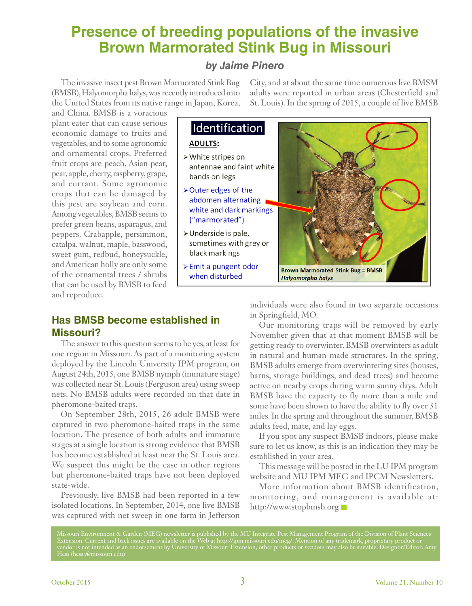# **Presence of breeding populations of the invasive Brown Marmorated Stink Bug in Missouri**

## *by Jaime Pinero*

The invasive insect pest Brown Marmorated Stink Bug (BMSB), Halyomorpha halys, was recently introduced into the United States from its native range in Japan, Korea, City, and at about the same time numerous live BMSM adults were reported in urban areas (Chesterfield and St. Louis). In the spring of 2015, a couple of live BMSB

and China. BMSB is a voracious plant eater that can cause serious economic damage to fruits and vegetables, and to some agronomic and ornamental crops. Preferred fruit crops are peach, Asian pear, pear, apple, cherry, raspberry, grape, and currant. Some agronomic crops that can be damaged by this pest are soybean and corn. Among vegetables, BMSB seems to prefer green beans, asparagus, and peppers. Crabapple, persimmon, catalpa, walnut, maple, basswood, sweet gum, redbud, honeysuckle, and American holly are only some of the ornamental trees / shrubs that can be used by BMSB to feed and reproduce.

## Identification

#### **ADULTS:**

- > White stripes on antennae and faint white bands on legs
- > Outer edges of the abdomen alternating white and dark markings ("marmorated")
- > Underside is pale, sometimes with grey or black markings
- > Emit a pungent odor when disturbed



## **Has BMSB become established in Missouri?**

The answer to this question seems to be yes, at least for one region in Missouri. As part of a monitoring system deployed by the Lincoln University IPM program, on August 24th, 2015, one BMSB nymph (immature stage) was collected near St. Louis (Ferguson area) using sweep nets. No BMSB adults were recorded on that date in pheromone-baited traps.

On September 28th, 2015, 26 adult BMSB were captured in two pheromone-baited traps in the same location. The presence of both adults and immature stages at a single location is strong evidence that BMSB has become established at least near the St. Louis area. We suspect this might be the case in other regions but pheromone-baited traps have not been deployed state-wide.

Previously, live BMSB had been reported in a few isolated locations. In September, 2014, one live BMSB was captured with net sweep in one farm in Jefferson individuals were also found in two separate occasions in Springfield, MO.

Our monitoring traps will be removed by early November given that at that moment BMSB will be getting ready to overwinter. BMSB overwinters as adult in natural and human-made structures. In the spring, BMSB adults emerge from overwintering sites (houses, barns, storage buildings, and dead trees) and become active on nearby crops during warm sunny days. Adult BMSB have the capacity to fly more than a mile and some have been shown to have the ability to fly over 31 miles. In the spring and throughout the summer, BMSB adults feed, mate, and lay eggs.

If you spot any suspect BMSB indoors, please make sure to let us know, as this is an indication they may be established in your area.

This message will be posted in the LU IPM program website and MU IPM MEG and IPCM Newsletters.

More information about BMSB identification, monitoring, and management is available at: http://www.stopbmsb.org

Missouri Environment & Garden (MEG) newsletter is published by the MU Integrate Pest Management Program of the Division of Plant Sciences Extension. Current and back issues are available on the Web at http://ipm.missouri.edu/meg/. Mention of any trademark, proprietary product or vendor is not intended as an endorsement by University of Missouri Extension; other products or vendors may also be suitable. Designor/Editor: Amy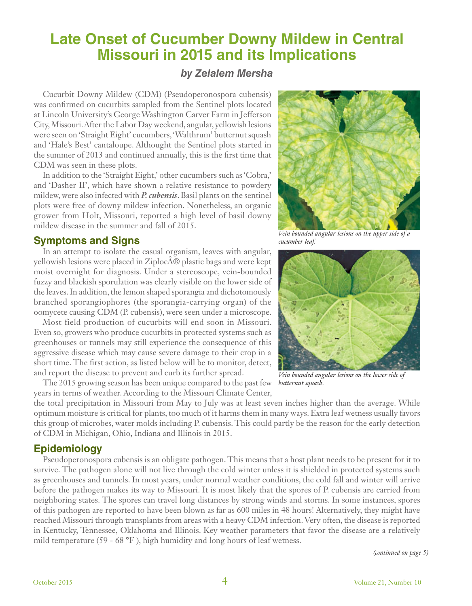# **Late Onset of Cucumber Downy Mildew in Central Missouri in 2015 and its Implications**

### *by Zelalem Mersha*

Cucurbit Downy Mildew (CDM) (Pseudoperonospora cubensis) was confirmed on cucurbits sampled from the Sentinel plots located at Lincoln University's George Washington Carver Farm in Jefferson City, Missouri. After the Labor Day weekend, angular, yellowish lesions were seen on 'Straight Eight' cucumbers, 'Walthrum' butternut squash and 'Hale's Best' cantaloupe. Althought the Sentinel plots started in the summer of 2013 and continued annually, this is the first time that CDM was seen in these plots.

In addition to the 'Straight Eight,' other cucumbers such as 'Cobra,' and 'Dasher II', which have shown a relative resistance to powdery mildew, were also infected with *P. cubensis*. Basil plants on the sentinel plots were free of downy mildew infection. Nonetheless, an organic grower from Holt, Missouri, reported a high level of basil downy mildew disease in the summer and fall of 2015.

### **Symptoms and Signs**

In an attempt to isolate the casual organism, leaves with angular, yellowish lesions were placed in Ziploc® plastic bags and were kept moist overnight for diagnosis. Under a stereoscope, vein-bounded fuzzy and blackish sporulation was clearly visible on the lower side of the leaves. In addition, the lemon shaped sporangia and dichotomously branched sporangiophores (the sporangia-carrying organ) of the oomycete causing CDM (P. cubensis), were seen under a microscope.

Most field production of cucurbits will end soon in Missouri. Even so, growers who produce cucurbits in protected systems such as greenhouses or tunnels may still experience the consequence of this aggressive disease which may cause severe damage to their crop in a short time. The first action, as listed below will be to monitor, detect, and report the disease to prevent and curb its further spread.

The 2015 growing season has been unique compared to the past few *butternut squash.* years in terms of weather. According to the Missouri Climate Center,



### **Epidemiology**

Pseudoperonospora cubensis is an obligate pathogen. This means that a host plant needs to be present for it to survive. The pathogen alone will not live through the cold winter unless it is shielded in protected systems such as greenhouses and tunnels. In most years, under normal weather conditions, the cold fall and winter will arrive before the pathogen makes its way to Missouri. It is most likely that the spores of P. cubensis are carried from neighboring states. The spores can travel long distances by strong winds and storms. In some instances, spores of this pathogen are reported to have been blown as far as 600 miles in 48 hours! Alternatively, they might have reached Missouri through transplants from areas with a heavy CDM infection. Very often, the disease is reported in Kentucky, Tennessee, Oklahoma and Illinois. Key weather parameters that favor the disease are a relatively mild temperature (59 - 68 **°**F ), high humidity and long hours of leaf wetness.

*(continued on page 5)*



*Vein bounded angular lesions on the upper side of a cucumber leaf.*



*Vein bounded angular lesions on the lower side of*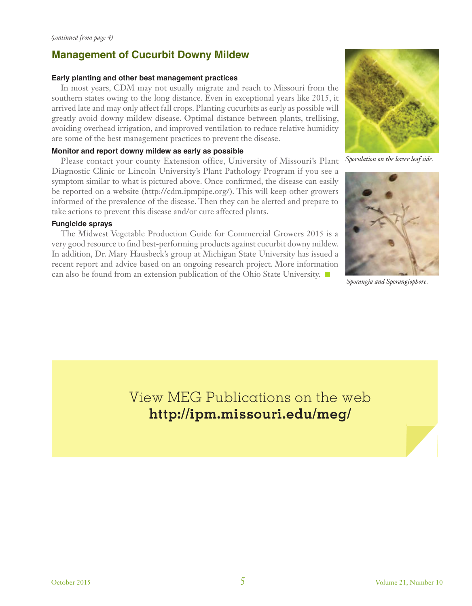## **Management of Cucurbit Downy Mildew**

### **Early planting and other best management practices**

In most years, CDM may not usually migrate and reach to Missouri from the southern states owing to the long distance. Even in exceptional years like 2015, it arrived late and may only affect fall crops. Planting cucurbits as early as possible will greatly avoid downy mildew disease. Optimal distance between plants, trellising, avoiding overhead irrigation, and improved ventilation to reduce relative humidity are some of the best management practices to prevent the disease.

#### **Monitor and report downy mildew as early as possible**

Please contact your county Extension office, University of Missouri's Plant Diagnostic Clinic or Lincoln University's Plant Pathology Program if you see a symptom similar to what is pictured above. Once confirmed, the disease can easily be reported on a website (http://cdm.ipmpipe.org/). This will keep other growers informed of the prevalence of the disease. Then they can be alerted and prepare to take actions to prevent this disease and/or cure affected plants.

#### **Fungicide sprays**

The Midwest Vegetable Production Guide for Commercial Growers 2015 is a very good resource to find best-performing products against cucurbit downy mildew. In addition, Dr. Mary Hausbeck's group at Michigan State University has issued a recent report and advice based on an ongoing research project. More information can also be found from an extension publication of the Ohio State University.



*Sporulation on the lower leaf side.*



*Sporangia and Sporangiophore.*

View MEG Publications on the web **http://ipm.missouri.edu/meg/**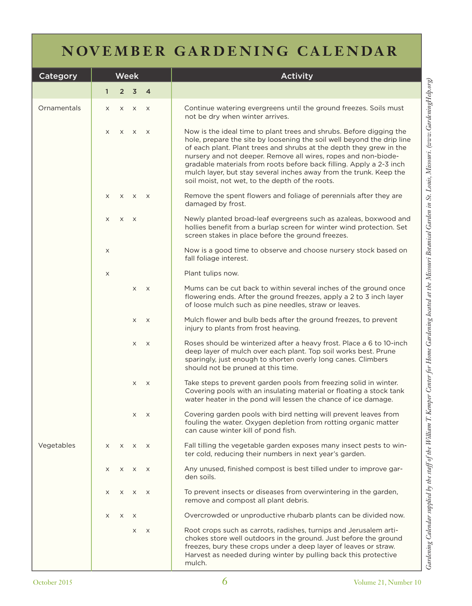# **NOVEMBER GARDENING CALENDAR**

| Category    |              |                | <b>Week</b>    |                | <b>Activity</b>                                                                                                                                                                                                                                                                                                                                                                                                                                                                        |
|-------------|--------------|----------------|----------------|----------------|----------------------------------------------------------------------------------------------------------------------------------------------------------------------------------------------------------------------------------------------------------------------------------------------------------------------------------------------------------------------------------------------------------------------------------------------------------------------------------------|
|             | $\mathbf{1}$ | $\overline{2}$ | $\overline{3}$ | $\overline{4}$ |                                                                                                                                                                                                                                                                                                                                                                                                                                                                                        |
| Ornamentals | X            | X              | X X            |                | Continue watering evergreens until the ground freezes. Soils must<br>not be dry when winter arrives.                                                                                                                                                                                                                                                                                                                                                                                   |
|             | X            | X              | $\times$       | $\mathsf{X}$   | Now is the ideal time to plant trees and shrubs. Before digging the<br>hole, prepare the site by loosening the soil well beyond the drip line<br>of each plant. Plant trees and shrubs at the depth they grew in the<br>nursery and not deeper. Remove all wires, ropes and non-biode-<br>gradable materials from roots before back filling. Apply a 2-3 inch<br>mulch layer, but stay several inches away from the trunk. Keep the<br>soil moist, not wet, to the depth of the roots. |
|             | X            | X              | $\mathsf{X}$   | $\mathsf{X}$   | Remove the spent flowers and foliage of perennials after they are<br>damaged by frost.                                                                                                                                                                                                                                                                                                                                                                                                 |
|             | X            | $\times$       | $\times$       |                | Newly planted broad-leaf evergreens such as azaleas, boxwood and<br>hollies benefit from a burlap screen for winter wind protection. Set<br>screen stakes in place before the ground freezes.                                                                                                                                                                                                                                                                                          |
|             | X            |                |                |                | Now is a good time to observe and choose nursery stock based on<br>fall foliage interest.                                                                                                                                                                                                                                                                                                                                                                                              |
|             | X            |                |                |                | Plant tulips now.                                                                                                                                                                                                                                                                                                                                                                                                                                                                      |
|             |              |                | X              | $\mathsf{X}$   | Mums can be cut back to within several inches of the ground once<br>flowering ends. After the ground freezes, apply a 2 to 3 inch layer<br>of loose mulch such as pine needles, straw or leaves.                                                                                                                                                                                                                                                                                       |
|             |              |                | X              | X              | Mulch flower and bulb beds after the ground freezes, to prevent<br>injury to plants from frost heaving.                                                                                                                                                                                                                                                                                                                                                                                |
|             |              |                | X              | $\mathsf{X}$   | Roses should be winterized after a heavy frost. Place a 6 to 10-inch<br>deep layer of mulch over each plant. Top soil works best. Prune<br>sparingly, just enough to shorten overly long canes. Climbers<br>should not be pruned at this time.                                                                                                                                                                                                                                         |
|             |              |                | X              | $\times$       | Take steps to prevent garden pools from freezing solid in winter.<br>Covering pools with an insulating material or floating a stock tank<br>water heater in the pond will lessen the chance of ice damage.                                                                                                                                                                                                                                                                             |
|             |              |                | X              | $\times$       | Covering garden pools with bird netting will prevent leaves from<br>fouling the water. Oxygen depletion from rotting organic matter<br>can cause winter kill of pond fish.                                                                                                                                                                                                                                                                                                             |
| Vegetables  | $\times$     | X              | $\times$       | $\times$       | Fall tilling the vegetable garden exposes many insect pests to win-<br>ter cold, reducing their numbers in next year's garden.                                                                                                                                                                                                                                                                                                                                                         |
|             | X            | X              | $\times$       | $\times$       | Any unused, finished compost is best tilled under to improve gar-<br>den soils.                                                                                                                                                                                                                                                                                                                                                                                                        |
|             | X            | X              | X              | $\mathsf{X}$   | To prevent insects or diseases from overwintering in the garden,<br>remove and compost all plant debris.                                                                                                                                                                                                                                                                                                                                                                               |
|             | $\times$     | $\times$       | $\times$       |                | Overcrowded or unproductive rhubarb plants can be divided now.                                                                                                                                                                                                                                                                                                                                                                                                                         |
|             |              |                | X              | $\mathsf{X}$   | Root crops such as carrots, radishes, turnips and Jerusalem arti-<br>chokes store well outdoors in the ground. Just before the ground<br>freezes, bury these crops under a deep layer of leaves or straw.<br>Harvest as needed during winter by pulling back this protective<br>mulch.                                                                                                                                                                                                 |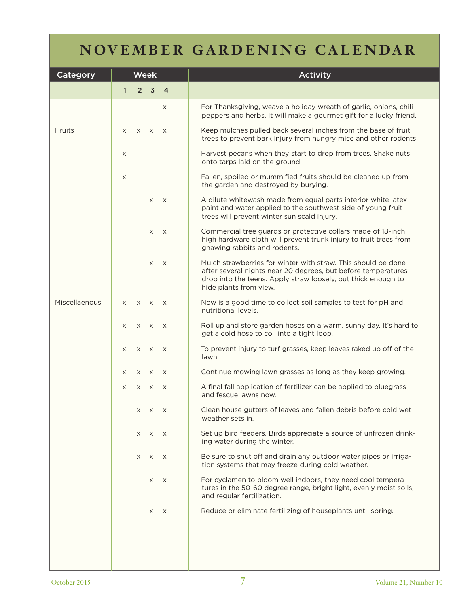# **NOVEMBER GARDENING CALENDAR**

| Category      | <b>Week</b>  |          |                |                | <b>Activity</b>                                                                                                                                                                                                           |
|---------------|--------------|----------|----------------|----------------|---------------------------------------------------------------------------------------------------------------------------------------------------------------------------------------------------------------------------|
|               | $\mathbf{1}$ |          | 2 <sub>3</sub> | $\overline{4}$ |                                                                                                                                                                                                                           |
|               |              |          |                | X              | For Thanksgiving, weave a holiday wreath of garlic, onions, chili<br>peppers and herbs. It will make a gourmet gift for a lucky friend.                                                                                   |
| Fruits        | X            | $\times$ | $\times$       | $\times$       | Keep mulches pulled back several inches from the base of fruit<br>trees to prevent bark injury from hungry mice and other rodents.                                                                                        |
|               | X            |          |                |                | Harvest pecans when they start to drop from trees. Shake nuts<br>onto tarps laid on the ground.                                                                                                                           |
|               | X            |          |                |                | Fallen, spoiled or mummified fruits should be cleaned up from<br>the garden and destroyed by burying.                                                                                                                     |
|               |              |          | X              | $\times$       | A dilute whitewash made from equal parts interior white latex<br>paint and water applied to the southwest side of young fruit<br>trees will prevent winter sun scald injury.                                              |
|               |              |          | X              | $\times$       | Commercial tree guards or protective collars made of 18-inch<br>high hardware cloth will prevent trunk injury to fruit trees from<br>gnawing rabbits and rodents.                                                         |
|               |              |          | X              | $\times$       | Mulch strawberries for winter with straw. This should be done<br>after several nights near 20 degrees, but before temperatures<br>drop into the teens. Apply straw loosely, but thick enough to<br>hide plants from view. |
| Miscellaenous | X            | $\times$ | $\mathsf{X}$   | $\mathsf{X}$   | Now is a good time to collect soil samples to test for pH and<br>nutritional levels.                                                                                                                                      |
|               | X            | $\times$ | $\times$       | $\mathsf{X}$   | Roll up and store garden hoses on a warm, sunny day. It's hard to<br>get a cold hose to coil into a tight loop.                                                                                                           |
|               | X            | X        | $\mathsf{X}$   | $\mathsf{X}$   | To prevent injury to turf grasses, keep leaves raked up off of the<br>lawn.                                                                                                                                               |
|               | X            | $\times$ | $\times$       | $\times$       | Continue mowing lawn grasses as long as they keep growing.                                                                                                                                                                |
|               | X            | X        | X              | X              | A final fall application of fertilizer can be applied to bluegrass<br>and fescue lawns now.                                                                                                                               |
|               |              | X        | X              | $\times$       | Clean house gutters of leaves and fallen debris before cold wet<br>weather sets in.                                                                                                                                       |
|               |              | X        | X              | $\times$       | Set up bird feeders. Birds appreciate a source of unfrozen drink-<br>ing water during the winter.                                                                                                                         |
|               |              | X        | X              | $\times$       | Be sure to shut off and drain any outdoor water pipes or irriga-<br>tion systems that may freeze during cold weather.                                                                                                     |
|               |              |          | X              | $\times$       | For cyclamen to bloom well indoors, they need cool tempera-<br>tures in the 50-60 degree range, bright light, evenly moist soils,<br>and regular fertilization.                                                           |
|               |              |          | X              | X              | Reduce or eliminate fertilizing of houseplants until spring.                                                                                                                                                              |
|               |              |          |                |                |                                                                                                                                                                                                                           |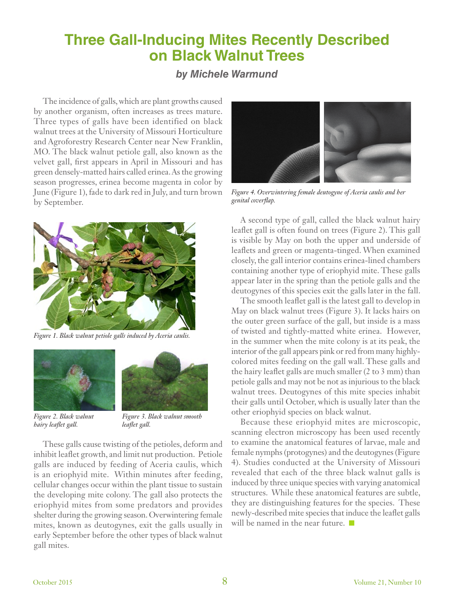# **Three Gall-Inducing Mites Recently Described on Black Walnut Trees**

### *by Michele Warmund*

The incidence of galls, which are plant growths caused by another organism, often increases as trees mature. Three types of galls have been identified on black walnut trees at the University of Missouri Horticulture and Agroforestry Research Center near New Franklin, MO. The black walnut petiole gall, also known as the velvet gall, first appears in April in Missouri and has green densely-matted hairs called erinea. As the growing season progresses, erinea become magenta in color by June (Figure 1), fade to dark red in July, and turn brown by September.



*Figure 1. Black walnut petiole galls induced by Aceria caulis.*





*Figure 2. Black walnut hairy leaflet gall.*

*Figure 3. Black walnut smooth leaflet gall.*

These galls cause twisting of the petioles, deform and inhibit leaflet growth, and limit nut production. Petiole galls are induced by feeding of Aceria caulis, which is an eriophyid mite. Within minutes after feeding, cellular changes occur within the plant tissue to sustain the developing mite colony. The gall also protects the eriophyid mites from some predators and provides shelter during the growing season. Overwintering female mites, known as deutogynes, exit the galls usually in early September before the other types of black walnut gall mites.



*Figure 4. Overwintering female deutogyne of Aceria caulis and her genital coverflap.*

A second type of gall, called the black walnut hairy leaflet gall is often found on trees (Figure 2). This gall is visible by May on both the upper and underside of leaflets and green or magenta-tinged. When examined closely, the gall interior contains erinea-lined chambers containing another type of eriophyid mite. These galls appear later in the spring than the petiole galls and the deutogynes of this species exit the galls later in the fall.

The smooth leaflet gall is the latest gall to develop in May on black walnut trees (Figure 3). It lacks hairs on the outer green surface of the gall, but inside is a mass of twisted and tightly-matted white erinea. However, in the summer when the mite colony is at its peak, the interior of the gall appears pink or red from many highlycolored mites feeding on the gall wall. These galls and the hairy leaflet galls are much smaller (2 to 3 mm) than petiole galls and may not be not as injurious to the black walnut trees. Deutogynes of this mite species inhabit their galls until October, which is usually later than the other eriophyid species on black walnut.

Because these eriophyid mites are microscopic, scanning electron microscopy has been used recently to examine the anatomical features of larvae, male and female nymphs (protogynes) and the deutogynes (Figure 4). Studies conducted at the University of Missouri revealed that each of the three black walnut galls is induced by three unique species with varying anatomical structures. While these anatomical features are subtle, they are distinguishing features for the species. These newly-described mite species that induce the leaflet galls will be named in the near future.